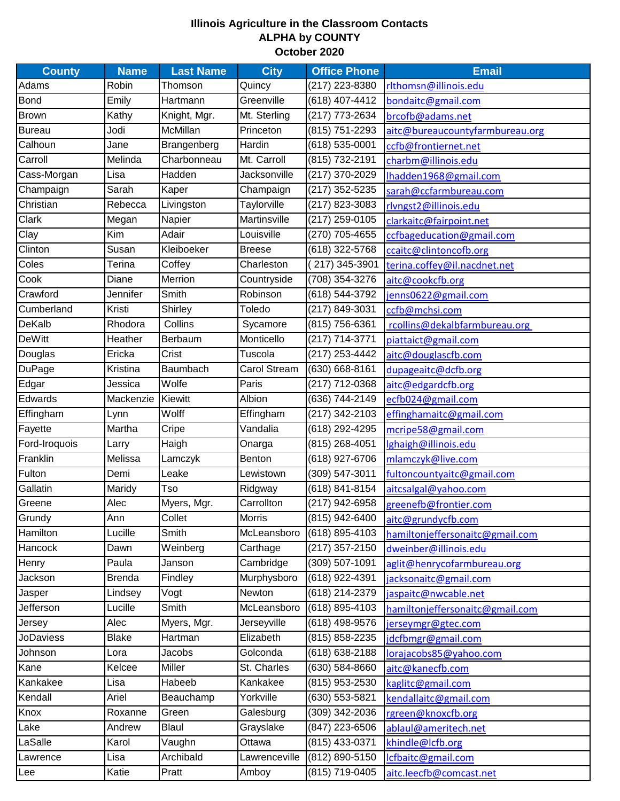## **Illinois Agriculture in the Classroom Contacts ALPHA by COUNTY October 2020**

| <b>County</b>    | <b>Name</b>   | <b>Last Name</b> | <b>City</b>   | <b>Office Phone</b> | <b>Email</b>                    |
|------------------|---------------|------------------|---------------|---------------------|---------------------------------|
| Adams            | Robin         | Thomson          | Quincy        | (217) 223-8380      | rlthomsn@illinois.edu           |
| <b>Bond</b>      | Emily         | Hartmann         | Greenville    | (618) 407-4412      | bondaitc@gmail.com              |
| <b>Brown</b>     | Kathy         | Knight, Mgr.     | Mt. Sterling  | (217) 773-2634      | brcofb@adams.net                |
| <b>Bureau</b>    | Jodi          | McMillan         | Princeton     | (815) 751-2293      | aitc@bureaucountyfarmbureau.org |
| Calhoun          | Jane          | Brangenberg      | Hardin        | (618) 535-0001      | ccfb@frontiernet.net            |
| Carroll          | Melinda       | Charbonneau      | Mt. Carroll   | (815) 732-2191      | charbm@illinois.edu             |
| Cass-Morgan      | Lisa          | Hadden           | Jacksonville  | (217) 370-2029      | lhadden1968@gmail.com           |
| Champaign        | Sarah         | Kaper            | Champaign     | (217) 352-5235      | sarah@ccfarmbureau.com          |
| Christian        | Rebecca       | Livingston       | Taylorville   | (217) 823-3083      | rlvngst2@illinois.edu           |
| Clark            | Megan         | Napier           | Martinsville  | (217) 259-0105      | clarkaitc@fairpoint.net         |
| Clay             | Kim           | Adair            | Louisville    | (270) 705-4655      | ccfbageducation@gmail.com       |
| Clinton          | Susan         | Kleiboeker       | <b>Breese</b> | $(618)$ 322-5768    | ccaitc@clintoncofb.org          |
| Coles            | Terina        | Coffey           | Charleston    | 217) 345-3901       | terina.coffey@il.nacdnet.net    |
| Cook             | Diane         | Merrion          | Countryside   | (708) 354-3276      | aitc@cookcfb.org                |
| Crawford         | Jennifer      | Smith            | Robinson      | $(618) 544 - 3792$  | jenns0622@gmail.com             |
| Cumberland       | Kristi        | Shirley          | Toledo        | (217) 849-3031      | ccfb@mchsi.com                  |
| DeKalb           | Rhodora       | Collins          | Sycamore      | (815) 756-6361      | rcollins@dekalbfarmbureau.org   |
| <b>DeWitt</b>    | Heather       | Berbaum          | Monticello    | (217) 714-3771      | piattaict@gmail.com             |
| Douglas          | Ericka        | Crist            | Tuscola       | (217) 253-4442      | aitc@douglascfb.com             |
| <b>DuPage</b>    | Kristina      | Baumbach         | Carol Stream  | (630) 668-8161      | dupageaitc@dcfb.org             |
| Edgar            | Jessica       | Wolfe            | Paris         | (217) 712-0368      | aitc@edgardcfb.org              |
| Edwards          | Mackenzie     | Kiewitt          | Albion        | (636) 744-2149      | ecfb024@gmail.com               |
| Effingham        | Lynn          | Wolff            | Effingham     | (217) 342-2103      | effinghamaitc@gmail.com         |
| Fayette          | Martha        | Cripe            | Vandalia      | $(618)$ 292-4295    | mcripe58@gmail.com              |
| Ford-Iroquois    | Larry         | Haigh            | Onarga        | (815) 268-4051      | lghaigh@illinois.edu            |
| Franklin         | Melissa       | Lamczyk          | Benton        | (618) 927-6706      | mlamczyk@live.com               |
| Fulton           | Demi          | Leake            | Lewistown     | (309) 547-3011      | fultoncountyaitc@gmail.com      |
| Gallatin         | Maridy        | Tso              | Ridgway       | (618) 841-8154      | aitcsalgal@yahoo.com            |
| Greene           | Alec          | Myers, Mgr.      | Carrollton    | (217) 942-6958      | greenefb@frontier.com           |
| Grundy           | Ann           | Collet           | <b>Morris</b> | $(815)$ 942-6400    | aitc@grundycfb.com              |
| Hamilton         | Lucille       | Smith            | McLeansboro   | (618) 895-4103      | hamiltonjeffersonaitc@gmail.com |
| Hancock          | Dawn          | Weinberg         | Carthage      | (217) 357-2150      | dweinber@illinois.edu           |
| Henry            | Paula         | Janson           | Cambridge     | (309) 507-1091      | aglit@henrycofarmbureau.org     |
| Jackson          | <b>Brenda</b> | Findley          | Murphysboro   | (618) 922-4391      | jacksonaitc@gmail.com           |
| Jasper           | Lindsey       | Vogt             | Newton        | $(618)$ 214-2379    | jaspaitc@nwcable.net            |
| Jefferson        | Lucille       | Smith            | McLeansboro   | (618) 895-4103      | hamiltonjeffersonaitc@gmail.com |
| Jersey           | Alec          | Myers, Mgr.      | Jerseyville   | (618) 498-9576      | jerseymgr@gtec.com              |
| <b>JoDaviess</b> | <b>Blake</b>  | Hartman          | Elizabeth     | (815) 858-2235      | jdcfbmgr@gmail.com              |
| Johnson          | Lora          | Jacobs           | Golconda      | (618) 638-2188      | lorajacobs85@yahoo.com          |
| Kane             | Kelcee        | Miller           | St. Charles   | (630) 584-8660      | aitc@kanecfb.com                |
| Kankakee         | Lisa          | Habeeb           | Kankakee      | (815) 953-2530      | kaglitc@gmail.com               |
| Kendall          | Ariel         | Beauchamp        | Yorkville     | (630) 553-5821      | kendallaitc@gmail.com           |
| Knox             | Roxanne       | Green            | Galesburg     | (309) 342-2036      | rgreen@knoxcfb.org              |
| Lake             | Andrew        | Blaul            | Grayslake     | $(847)$ 223-6506    | ablaul@ameritech.net            |
| LaSalle          | Karol         | Vaughn           | Ottawa        | (815) 433-0371      | khindle@lcfb.org                |
| Lawrence         | Lisa          | Archibald        | Lawrenceville | (812) 890-5150      | lcfbaitc@gmail.com              |
| Lee              | Katie         | Pratt            | Amboy         | (815) 719-0405      | aitc.leecfb@comcast.net         |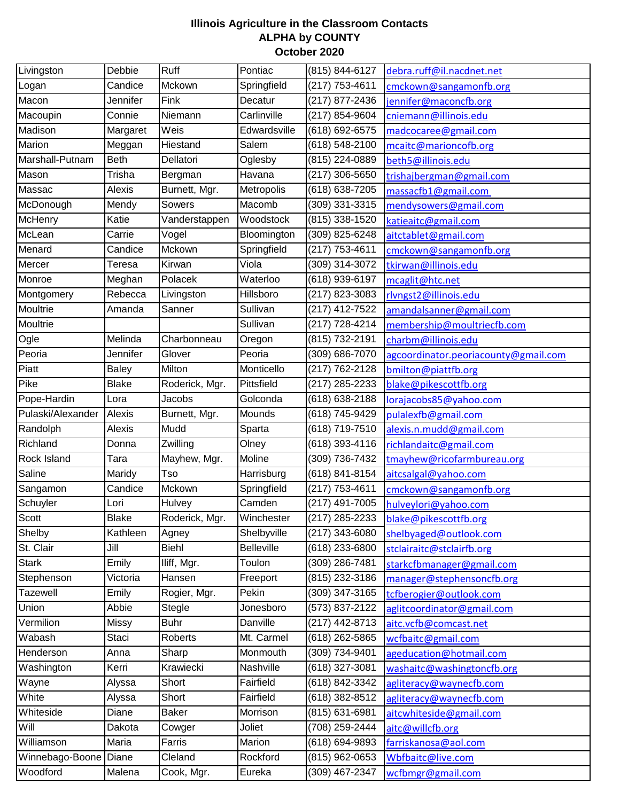## **Illinois Agriculture in the Classroom Contacts ALPHA by COUNTY October 2020**

| Livingston        | Debbie       | Ruff           | Pontiac           | (815) 844-6127   | debra.ruff@il.nacdnet.net            |
|-------------------|--------------|----------------|-------------------|------------------|--------------------------------------|
| Logan             | Candice      | Mckown         | Springfield       | (217) 753-4611   | cmckown@sangamonfb.org               |
| Macon             | Jennifer     | Fink           | Decatur           | (217) 877-2436   | jennifer@maconcfb.org                |
| Macoupin          | Connie       | Niemann        | Carlinville       | (217) 854-9604   | cniemann@illinois.edu                |
| Madison           | Margaret     | Weis           | Edwardsville      | (618) 692-6575   | madcocaree@gmail.com                 |
| Marion            | Meggan       | Hiestand       | Salem             | (618) 548-2100   | mcaitc@marioncofb.org                |
| Marshall-Putnam   | <b>Beth</b>  | Dellatori      | Oglesby           | (815) 224-0889   | beth5@illinois.edu                   |
| Mason             | Trisha       | Bergman        | Havana            | (217) 306-5650   | trishajbergman@gmail.com             |
| Massac            | Alexis       | Burnett, Mgr.  | Metropolis        | (618) 638-7205   | massacfb1@gmail.com                  |
| McDonough         | Mendy        | Sowers         | Macomb            | (309) 331-3315   | mendysowers@gmail.com                |
| McHenry           | Katie        | Vanderstappen  | Woodstock         | (815) 338-1520   | katieaitc@gmail.com                  |
| McLean            | Carrie       | Vogel          | Bloomington       | (309) 825-6248   | aitctablet@gmail.com                 |
| Menard            | Candice      | Mckown         | Springfield       | (217) 753-4611   | cmckown@sangamonfb.org               |
| Mercer            | Teresa       | Kirwan         | Viola             | (309) 314-3072   | tkirwan@illinois.edu                 |
| Monroe            | Meghan       | Polacek        | Waterloo          | (618) 939-6197   | mcaglit@htc.net                      |
| Montgomery        | Rebecca      | Livingston     | Hillsboro         | (217) 823-3083   | rlvngst2@illinois.edu                |
| Moultrie          | Amanda       | Sanner         | Sullivan          | (217) 412-7522   | amandalsanner@gmail.com              |
| Moultrie          |              |                | Sullivan          | (217) 728-4214   | membership@moultriecfb.com           |
| Ogle              | Melinda      | Charbonneau    | Oregon            | (815) 732-2191   | charbm@illinois.edu                  |
| Peoria            | Jennifer     | Glover         | Peoria            | (309) 686-7070   | agcoordinator.peoriacounty@gmail.com |
| Piatt             | <b>Baley</b> | Milton         | Monticello        | (217) 762-2128   | bmilton@piattfb.org                  |
| Pike              | <b>Blake</b> | Roderick, Mgr. | Pittsfield        | (217) 285-2233   | blake@pikescottfb.org                |
| Pope-Hardin       | Lora         | Jacobs         | Golconda          | (618) 638-2188   | lorajacobs85@yahoo.com               |
| Pulaski/Alexander | Alexis       | Burnett, Mgr.  | Mounds            | (618) 745-9429   | pulalexfb@gmail.com                  |
| Randolph          | Alexis       | Mudd           | Sparta            | (618) 719-7510   | alexis.n.mudd@gmail.com              |
| Richland          | Donna        | Zwilling       | Olney             | (618) 393-4116   | richlandaitc@gmail.com               |
| Rock Island       | Tara         | Mayhew, Mgr.   | Moline            | (309) 736-7432   | tmayhew@ricofarmbureau.org           |
| Saline            | Maridy       | Tso            | Harrisburg        | (618) 841-8154   | aitcsalgal@yahoo.com                 |
| Sangamon          | Candice      | Mckown         | Springfield       | (217) 753-4611   | cmckown@sangamonfb.org               |
| Schuyler          | Lori         | Hulvey         | Camden            | (217) 491-7005   | hulveylori@yahoo.com                 |
| Scott             | <b>Blake</b> | Roderick, Mgr. | Winchester        | $(217)$ 285-2233 | blake@pikescottfb.org                |
| Shelby            | Kathleen     | Agney          | Shelbyville       | (217) 343-6080   | shelbyaged@outlook.com               |
| St. Clair         | Jill         | Biehl          | <b>Belleville</b> | (618) 233-6800   | stclairaitc@stclairfb.org            |
| <b>Stark</b>      | Emily        | Iliff, Mgr.    | Toulon            | (309) 286-7481   | starkcfbmanager@gmail.com            |
| Stephenson        | Victoria     | Hansen         | Freeport          | (815) 232-3186   | manager@stephensoncfb.org            |
| Tazewell          | Emily        | Rogier, Mgr.   | Pekin             | (309) 347-3165   | tcfberogier@outlook.com              |
| Union             | Abbie        | Stegle         | Jonesboro         | (573) 837-2122   | aglitcoordinator@gmail.com           |
| Vermilion         | Missy        | <b>Buhr</b>    | Danville          | (217) 442-8713   | aitc.vcfb@comcast.net                |
| Wabash            | Staci        | Roberts        | Mt. Carmel        | (618) 262-5865   | wcfbaitc@gmail.com                   |
| Henderson         | Anna         | Sharp          | Monmouth          | (309) 734-9401   | ageducation@hotmail.com              |
| Washington        | Kerri        | Krawiecki      | Nashville         | (618) 327-3081   | washaitc@washingtoncfb.org           |
| Wayne             | Alyssa       | Short          | Fairfield         | (618) 842-3342   | agliteracy@waynecfb.com              |
| White             | Alyssa       | Short          | Fairfield         | $(618)$ 382-8512 | agliteracy@waynecfb.com              |
| Whiteside         | Diane        | <b>Baker</b>   | Morrison          | (815) 631-6981   | aitcwhiteside@gmail.com              |
| Will              | Dakota       | Cowger         | Joliet            | $(708)$ 259-2444 | aitc@willcfb.org                     |
| Williamson        | Maria        | Farris         | Marion            | (618) 694-9893   | farriskanosa@aol.com                 |
| Winnebago-Boone   | Diane        | Cleland        | Rockford          | (815) 962-0653   | Wbfbaitc@live.com                    |
| Woodford          | Malena       | Cook, Mgr.     | Eureka            | (309) 467-2347   | wcfbmgr@gmail.com                    |